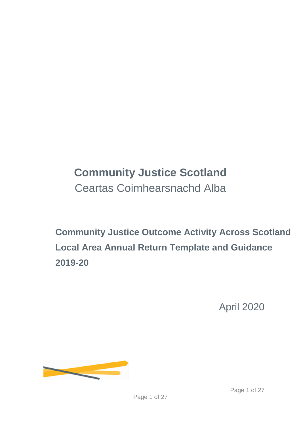# **Community Justice Scotland** Ceartas Coimhearsnachd Alba

**Community Justice Outcome Activity Across Scotland Local Area Annual Return Template and Guidance 2019-20**

April 2020

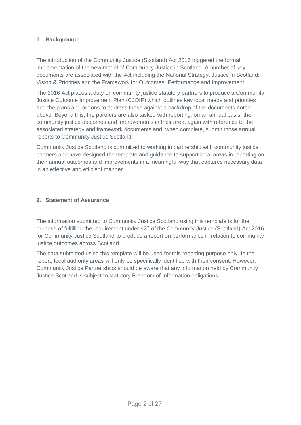# **1. Background**

The introduction of the Community Justice (Scotland) Act 2016 triggered the formal implementation of the new model of Community Justice in Scotland. A number of key documents are associated with the Act including the National Strategy, Justice in Scotland: Vision & Priorities and the Framework for Outcomes, Performance and Improvement.

The 2016 Act places a duty on community justice statutory partners to produce a Community Justice Outcome Improvement Plan (CJOIP) which outlines key local needs and priorities and the plans and actions to address these against a backdrop of the documents noted above. Beyond this, the partners are also tasked with reporting, on an annual basis, the community justice outcomes and improvements in their area, again with reference to the associated strategy and framework documents and, when complete, submit those annual reports to Community Justice Scotland.

Community Justice Scotland is committed to working in partnership with community justice partners and have designed the template and guidance to support local areas in reporting on their annual outcomes and improvements in a meaningful way that captures necessary data in an effective and efficient manner.

# **2. Statement of Assurance**

The information submitted to Community Justice Scotland using this template is for the purpose of fulfilling the requirement under s27 of the Community Justice (Scotland) Act 2016 for Community Justice Scotland to produce a report on performance in relation to community justice outcomes across Scotland.

The data submitted using this template will be used for this reporting purpose only. In the report, local authority areas will only be specifically identified with their consent. However, Community Justice Partnerships should be aware that any information held by Community Justice Scotland is subject to statutory Freedom of Information obligations.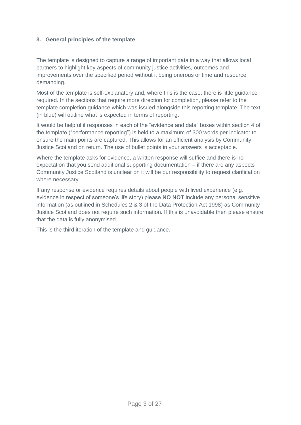# **3. General principles of the template**

The template is designed to capture a range of important data in a way that allows local partners to highlight key aspects of community justice activities, outcomes and improvements over the specified period without it being onerous or time and resource demanding.

Most of the template is self-explanatory and, where this is the case, there is little guidance required. In the sections that require more direction for completion, please refer to the template completion guidance which was issued alongside this reporting template. The text (in blue) will outline what is expected in terms of reporting.

It would be helpful if responses in each of the "evidence and data" boxes within section 4 of the template ("performance reporting") is held to a maximum of 300 words per indicator to ensure the main points are captured. This allows for an efficient analysis by Community Justice Scotland on return. The use of bullet points in your answers is acceptable.

Where the template asks for evidence, a written response will suffice and there is no expectation that you send additional supporting documentation – if there are any aspects Community Justice Scotland is unclear on it will be our responsibility to request clarification where necessary.

If any response or evidence requires details about people with lived experience (e.g. evidence in respect of someone's life story) please **NO NOT** include any personal sensitive information (as outlined in Schedules 2 & 3 of the Data Protection Act 1998) as Community Justice Scotland does not require such information. If this is unavoidable then please ensure that the data is fully anonymised.

This is the third iteration of the template and guidance.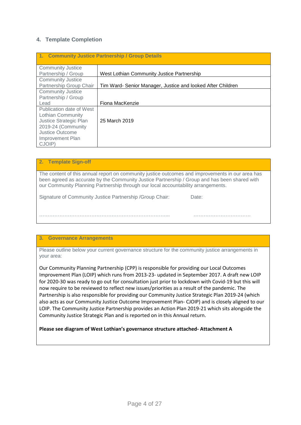# **4. Template Completion**

| 1. Community Justice Partnership / Group Details |                                                             |  |
|--------------------------------------------------|-------------------------------------------------------------|--|
| <b>Community Justice</b>                         |                                                             |  |
| Partnership / Group                              | West Lothian Community Justice Partnership                  |  |
| <b>Community Justice</b>                         |                                                             |  |
| Partnership Group Chair                          | Tim Ward- Senior Manager, Justice and looked After Children |  |
| <b>Community Justice</b>                         |                                                             |  |
| Partnership / Group                              |                                                             |  |
| Lead                                             | Fiona MacKenzie                                             |  |
| Publication date of West                         |                                                             |  |
| Lothian Community                                |                                                             |  |
| Justice Strategic Plan                           | 25 March 2019                                               |  |
| 2019-24 (Community                               |                                                             |  |
| Justice Outcome                                  |                                                             |  |
| Improvement Plan                                 |                                                             |  |
| CJOIP)                                           |                                                             |  |

| <b>Template Sign-off</b>                                                                                                                                                                                                                                                               |       |
|----------------------------------------------------------------------------------------------------------------------------------------------------------------------------------------------------------------------------------------------------------------------------------------|-------|
| The content of this annual report on community justice outcomes and improvements in our area has<br>been agreed as accurate by the Community Justice Partnership / Group and has been shared with<br>our Community Planning Partnership through our local accountability arrangements. |       |
| Signature of Community Justice Partnership / Group Chair:                                                                                                                                                                                                                              | Date: |
|                                                                                                                                                                                                                                                                                        |       |

## **3. Governance Arrangements**

Please outline below your current governance structure for the community justice arrangements in your area:

Our Community Planning Partnership (CPP) is responsible for providing our Local Outcomes Improvement Plan (LOIP) which runs from 2013-23- updated in September 2017. A draft new LOIP for 2020-30 was ready to go out for consultation just prior to lockdown with Covid-19 but this will now require to be reviewed to reflect new issues/priorities as a result of the pandemic. The Partnership is also responsible for providing our Community Justice Strategic Plan 2019-24 (which also acts as our Community Justice Outcome Improvement Plan- CJOIP) and is closely aligned to our LOIP. The Community Justice Partnership provides an Action Plan 2019-21 which sits alongside the Community Justice Strategic Plan and is reported on in this Annual return.

**Please see diagram of West Lothian's governance structure attached- Attachment A**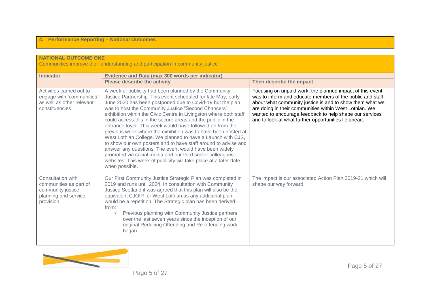| <b>NATIONAL OUTCOME ONE</b><br>Communities improve their understanding and participation in community justice |                                                                                                                                                                                                                                                                                                                                                                                                                                                                                                                                                                                                                                                                                                                                                                                                                                                             |                                                                                                                                                                                                                                                                                                                                                                 |
|---------------------------------------------------------------------------------------------------------------|-------------------------------------------------------------------------------------------------------------------------------------------------------------------------------------------------------------------------------------------------------------------------------------------------------------------------------------------------------------------------------------------------------------------------------------------------------------------------------------------------------------------------------------------------------------------------------------------------------------------------------------------------------------------------------------------------------------------------------------------------------------------------------------------------------------------------------------------------------------|-----------------------------------------------------------------------------------------------------------------------------------------------------------------------------------------------------------------------------------------------------------------------------------------------------------------------------------------------------------------|
| <b>Indicator</b>                                                                                              | <b>Evidence and Data (max 300 words per indicator)</b><br><b>Please describe the activity</b>                                                                                                                                                                                                                                                                                                                                                                                                                                                                                                                                                                                                                                                                                                                                                               | Then describe the impact                                                                                                                                                                                                                                                                                                                                        |
| Activities carried out to<br>engage with 'communities'<br>as well as other relevant<br>constituencies         | A week of publicity had been planned by the Community<br>Justice Partnership. This event scheduled for late May, early<br>June 2020 has been postponed due to Covid-19 but the plan<br>was to host the Community Justice "Second Chancers"<br>exhibition within the Civic Centre in Livingston where both staff<br>could access this in the secure areas and the public in the<br>entrance foyer. This week would have followed on from the<br>previous week where the exhibition was to have been hosted at<br>West Lothian College. We planned to have a Launch with CJS,<br>to show our own posters and to have staff around to advise and<br>answer any questions. The event would have been widely<br>promoted via social media and our third sector colleagues'<br>websites. This week of publicity will take place at a later date<br>when possible. | Focusing on unpaid work, the planned impact of this event<br>was to inform and educate members of the public and staff<br>about what community justice is and to show them what we<br>are doing in their communities within West Lothian. We<br>wanted to encourage feedback to help shape our services<br>and to look at what further opportunities lie ahead. |
| Consultation with<br>communities as part of<br>community justice<br>planning and service<br>provision         | Our First Community Justice Strategic Plan was completed in<br>2019 and runs until 2024. In consultation with Community<br>Justice Scotland it was agreed that this plan will also be the<br>equivalent CJOIP for West Lothian as any additional plan<br>would be a repetition. The Strategic plan has been derived<br>from:<br>Previous planning with Community Justice partners<br>over the last seven years since the inception of our<br>original Reducing Offending and Re-offending work<br>began                                                                                                                                                                                                                                                                                                                                                     | The impact is our associated Action Plan 2019-21 which will<br>shape our way forward.                                                                                                                                                                                                                                                                           |

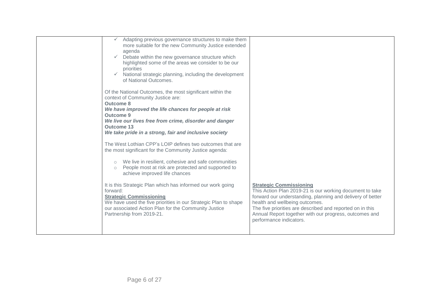| Adapting previous governance structures to make them<br>more suitable for the new Community Justice extended<br>agenda<br>Debate within the new governance structure which<br>highlighted some of the areas we consider to be our<br>priorities<br>National strategic planning, including the development<br>of National Outcomes.<br>Of the National Outcomes, the most significant within the<br>context of Community Justice are:<br><b>Outcome 8</b><br>We have improved the life chances for people at risk<br><b>Outcome 9</b><br>We live our lives free from crime, disorder and danger<br><b>Outcome 13</b><br>We take pride in a strong, fair and inclusive society<br>The West Lothian CPP's LOIP defines two outcomes that are<br>the most significant for the Community Justice agenda:<br>We live in resilient, cohesive and safe communities<br>People most at risk are protected and supported to<br>$\circ$<br>achieve improved life chances<br>It is this Strategic Plan which has informed our work going | <b>Strategic Commissioning</b>                                                                                                                                                                                                                                                                             |
|-----------------------------------------------------------------------------------------------------------------------------------------------------------------------------------------------------------------------------------------------------------------------------------------------------------------------------------------------------------------------------------------------------------------------------------------------------------------------------------------------------------------------------------------------------------------------------------------------------------------------------------------------------------------------------------------------------------------------------------------------------------------------------------------------------------------------------------------------------------------------------------------------------------------------------------------------------------------------------------------------------------------------------|------------------------------------------------------------------------------------------------------------------------------------------------------------------------------------------------------------------------------------------------------------------------------------------------------------|
| forward:<br><b>Strategic Commissioning</b><br>We have used the five priorities in our Strategic Plan to shape<br>our associated Action Plan for the Community Justice<br>Partnership from 2019-21.                                                                                                                                                                                                                                                                                                                                                                                                                                                                                                                                                                                                                                                                                                                                                                                                                          | This Action Plan 2019-21 is our working document to take<br>forward our understanding, planning and delivery of better<br>health and wellbeing outcomes.<br>The five priorities are described and reported on in this<br>Annual Report together with our progress, outcomes and<br>performance indicators. |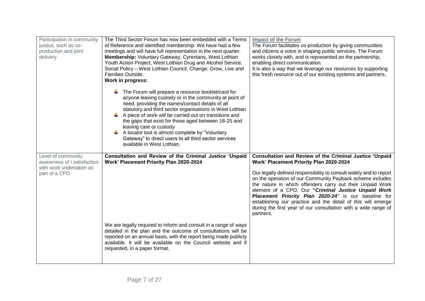| Participation in community<br>justice, such as co-<br>production and joint<br>delivery | The Third Sector Forum has now been embedded with a Terms<br>of Reference and identified membership. We have had a few<br>meetings and will have full representation in the next quarter.<br>Membership: Voluntary Gateway, Cyrenians, West Lothian<br>Youth Action Project, West Lothian Drug and Alcohol Service,<br>Social Policy - West Lothian Council, Change, Grow, Live and<br>Families Outside.<br>Work in progress:                                                                                       | <b>Impact of the Forum</b><br>The Forum facilitates co-production by giving communities<br>and citizens a voice in shaping public services. The Forum<br>works closely with, and is represented on the partnership,<br>enabling direct communication.<br>It is also a way that we leverage our resources by supporting<br>this fresh resource out of our existing systems and partners.                                                                    |
|----------------------------------------------------------------------------------------|---------------------------------------------------------------------------------------------------------------------------------------------------------------------------------------------------------------------------------------------------------------------------------------------------------------------------------------------------------------------------------------------------------------------------------------------------------------------------------------------------------------------|------------------------------------------------------------------------------------------------------------------------------------------------------------------------------------------------------------------------------------------------------------------------------------------------------------------------------------------------------------------------------------------------------------------------------------------------------------|
|                                                                                        | The Forum will prepare a resource booklet/card for<br>anyone leaving custody or in the community at point of<br>need, providing the names/contact details of all<br>statutory and third sector organisations in West Lothian<br>A piece of work will be carried out on transitions and<br>the gaps that exist for those aged between 18-25 and<br>leaving care or custody<br>A locator tool is almost complete by "Voluntary<br>Gateway" to direct users to all third sector services<br>available in West Lothian. |                                                                                                                                                                                                                                                                                                                                                                                                                                                            |
| Level of community<br>awareness of / satisfaction                                      | Consultation and Review of the Criminal Justice 'Unpaid<br>Work' Placement Priority Plan 2020-2024                                                                                                                                                                                                                                                                                                                                                                                                                  | Consultation and Review of the Criminal Justice 'Unpaid<br>Work' Placement Priority Plan 2020-2024                                                                                                                                                                                                                                                                                                                                                         |
| with work undertaken as<br>part of a CPO                                               |                                                                                                                                                                                                                                                                                                                                                                                                                                                                                                                     | Our legally defined responsibility to consult widely and to report<br>on the operation of our Community Payback scheme includes<br>the nature in which offenders carry out their Unpaid Work<br>element of a CPO. Our "Criminal Justice Unpaid Work<br>Placement Priority Plan 2020-24" is our baseline for<br>establishing our practice and the detail of this will emerge<br>during the first year of our consultation with a wide range of<br>partners. |
|                                                                                        | We are legally required to inform and consult in a range of ways<br>detailed in the plan and the outcome of consultations will be<br>reported on an annual basis, with the report being made publicly<br>available. It will be available on the Council website and if<br>requested, in a paper format.                                                                                                                                                                                                             |                                                                                                                                                                                                                                                                                                                                                                                                                                                            |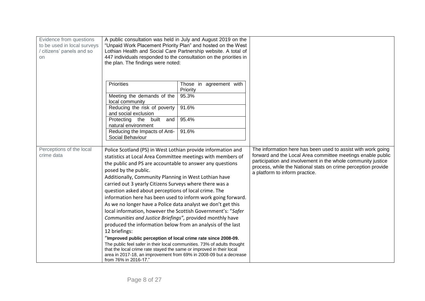| Evidence from questions<br>to be used in local surveys<br>/ citizens' panels and so<br><b>on</b> | A public consultation was held in July and August 2019 on the<br>"Unpaid Work Placement Priority Plan" and hosted on the West<br>Lothian Health and Social Care Partnership website. A total of<br>447 individuals responded to the consultation on the priorities in<br>the plan. The findings were noted:                                                                                                                                                                                                                                                                                                                                                                                                                                                                                                                                                                                                                                                                                                                                                   |                                              |                                                                                                                                                                                                                                                                                                |
|--------------------------------------------------------------------------------------------------|---------------------------------------------------------------------------------------------------------------------------------------------------------------------------------------------------------------------------------------------------------------------------------------------------------------------------------------------------------------------------------------------------------------------------------------------------------------------------------------------------------------------------------------------------------------------------------------------------------------------------------------------------------------------------------------------------------------------------------------------------------------------------------------------------------------------------------------------------------------------------------------------------------------------------------------------------------------------------------------------------------------------------------------------------------------|----------------------------------------------|------------------------------------------------------------------------------------------------------------------------------------------------------------------------------------------------------------------------------------------------------------------------------------------------|
|                                                                                                  | <b>Priorities</b><br>Meeting the demands of the                                                                                                                                                                                                                                                                                                                                                                                                                                                                                                                                                                                                                                                                                                                                                                                                                                                                                                                                                                                                               | Those in agreement with<br>Priority<br>95.3% |                                                                                                                                                                                                                                                                                                |
|                                                                                                  | local community                                                                                                                                                                                                                                                                                                                                                                                                                                                                                                                                                                                                                                                                                                                                                                                                                                                                                                                                                                                                                                               |                                              |                                                                                                                                                                                                                                                                                                |
|                                                                                                  | Reducing the risk of poverty<br>and social exclusion                                                                                                                                                                                                                                                                                                                                                                                                                                                                                                                                                                                                                                                                                                                                                                                                                                                                                                                                                                                                          | 91.6%                                        |                                                                                                                                                                                                                                                                                                |
|                                                                                                  | Protecting the built<br>and<br>natural environment                                                                                                                                                                                                                                                                                                                                                                                                                                                                                                                                                                                                                                                                                                                                                                                                                                                                                                                                                                                                            | 95.4%                                        |                                                                                                                                                                                                                                                                                                |
|                                                                                                  | Reducing the Impacts of Anti-<br>Social Behaviour                                                                                                                                                                                                                                                                                                                                                                                                                                                                                                                                                                                                                                                                                                                                                                                                                                                                                                                                                                                                             | 91.6%                                        |                                                                                                                                                                                                                                                                                                |
| Perceptions of the local<br>crime data                                                           | Police Scotland (PS) in West Lothian provide information and<br>statistics at Local Area Committee meetings with members of<br>the public and PS are accountable to answer any questions<br>posed by the public.<br>Additionally, Community Planning in West Lothian have<br>carried out 3 yearly Citizens Surveys where there was a<br>question asked about perceptions of local crime. The<br>information here has been used to inform work going forward.<br>As we no longer have a Police data analyst we don't get this<br>local information, however the Scottish Government's: "Safer<br>Communities and Justice Briefings", provided monthly have<br>produced the information below from an analysis of the last<br>12 briefings:<br>"Improved public perception of local crime rate since 2008-09.<br>The public feel safer in their local communities. 73% of adults thought<br>that the local crime rate stayed the same or improved in their local<br>area in 2017-18, an improvement from 69% in 2008-09 but a decrease<br>from 76% in 2016-17." |                                              | The information here has been used to assist with work going<br>forward and the Local Area committee meetings enable public<br>participation and involvement in the whole community justice<br>process, while the National stats on crime perception provide<br>a platform to inform practice. |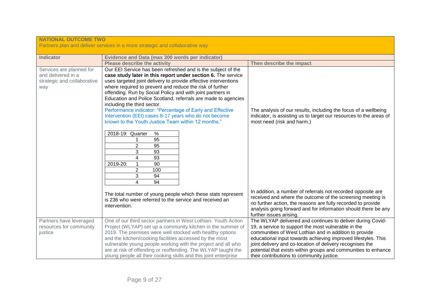| <b>NATIONAL OUTCOME TWO</b>                                                          | Partners plan and deliver services in a more strategic and collaborative way                                                                                                                                                                                                                                                                                                                                                                                                                                                                                                                                                                                                                                                                                             |                                                                                                                                                                                                                                                                                                                                                                                                                          |
|--------------------------------------------------------------------------------------|--------------------------------------------------------------------------------------------------------------------------------------------------------------------------------------------------------------------------------------------------------------------------------------------------------------------------------------------------------------------------------------------------------------------------------------------------------------------------------------------------------------------------------------------------------------------------------------------------------------------------------------------------------------------------------------------------------------------------------------------------------------------------|--------------------------------------------------------------------------------------------------------------------------------------------------------------------------------------------------------------------------------------------------------------------------------------------------------------------------------------------------------------------------------------------------------------------------|
| <b>Indicator</b>                                                                     | <b>Evidence and Data (max 300 words per indicator)</b>                                                                                                                                                                                                                                                                                                                                                                                                                                                                                                                                                                                                                                                                                                                   |                                                                                                                                                                                                                                                                                                                                                                                                                          |
|                                                                                      | <b>Please describe the activity</b>                                                                                                                                                                                                                                                                                                                                                                                                                                                                                                                                                                                                                                                                                                                                      | Then describe the impact                                                                                                                                                                                                                                                                                                                                                                                                 |
| Services are planned for<br>and delivered in a<br>strategic and collaborative<br>way | Our EEI Service has been refreshed and is the subject of the<br>case study later in this report under section 6. The service<br>uses targeted joint delivery to provide effective interventions<br>where required to prevent and reduce the risk of further<br>offending. Run by Social Policy and with joint partners in<br>Education and Police Scotland, referrals are made to agencies<br>including the third sector.<br>Performance indicator: "Percentage of Early and Effective<br>Intervention (EEI) cases 8-17 years who do not become<br>known to the Youth Justice Team within 12 months."<br>2018-19: Quarter<br>$\%$<br>$\overline{95}$<br>$\overline{2}$<br>95<br>3<br>93<br>4<br>93<br>90<br>2019-20:<br>1<br>$\overline{2}$<br>100<br>3<br>94<br>4<br>94 | The analysis of our results, including the focus of a wellbeing<br>indicator, is assisting us to target our resources to the areas of<br>most need (risk and harm.)                                                                                                                                                                                                                                                      |
|                                                                                      | The total number of young people which these stats represent<br>is 236 who were referred to the service and received an<br>intervention.                                                                                                                                                                                                                                                                                                                                                                                                                                                                                                                                                                                                                                 | In addition, a number of referrals not recorded opposite are<br>received and where the outcome of the screening meeting is<br>no further action, the reasons are fully recorded to provide<br>analysis going forward and for information should there be any<br>further issues arising.                                                                                                                                  |
| Partners have leveraged<br>resources for community<br>justice                        | One of our third sector partners in West Lothian- Youth Action<br>Project (WLYAP) set up a community kitchen in the summer of<br>2019. The premises were well stocked with healthy options<br>and the kitchen/cooking facilities accessed by the most<br>vulnerable young people working with the project and all who<br>are at risk of offending or reoffending. The WLYAP taught the<br>young people all their cooking skills and this joint enterprise                                                                                                                                                                                                                                                                                                                | The WLYAP delivered and continues to deliver during Covid-<br>19, a service to support the most vulnerable in the<br>communities of West Lothian and in addition to provide<br>educational input towards achieving improved lifestyles. This<br>joint delivery and co-location of delivery recognises the<br>potential that exists within groups and communities to enhance<br>their contributions to community justice. |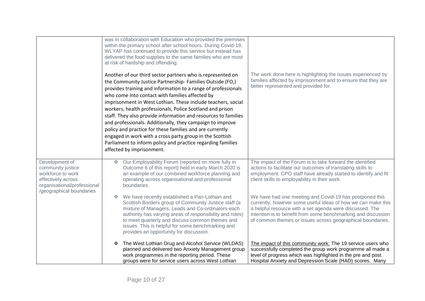|                                                                                                                                           | was in collaboration with Education who provided the premises<br>within the primary school after school hours. During Covid-19,<br>WLYAP has continued to provide this service but instead has<br>delivered the food supplies to the same families who are most<br>at risk of hardship and offending.<br>Another of our third sector partners who is represented on<br>the Community Justice Partnership- Families Outside (FO,)<br>provides training and information to a range of professionals<br>who come into contact with families affected by<br>imprisonment in West Lothian. These include teachers, social<br>workers, health professionals, Police Scotland and prison<br>staff. They also provide information and resources to families<br>and professionals. Additionally, they campaign to improve<br>policy and practice for these families and are currently<br>engaged in work with a cross party group in the Scottish<br>Parliament to inform policy and practice regarding families<br>affected by imprisonment. | The work done here is highlighting the issues experienced by<br>families affected by imprisonment and to ensure that they are<br>better represented and provided for.                                                                                                                                              |
|-------------------------------------------------------------------------------------------------------------------------------------------|--------------------------------------------------------------------------------------------------------------------------------------------------------------------------------------------------------------------------------------------------------------------------------------------------------------------------------------------------------------------------------------------------------------------------------------------------------------------------------------------------------------------------------------------------------------------------------------------------------------------------------------------------------------------------------------------------------------------------------------------------------------------------------------------------------------------------------------------------------------------------------------------------------------------------------------------------------------------------------------------------------------------------------------|--------------------------------------------------------------------------------------------------------------------------------------------------------------------------------------------------------------------------------------------------------------------------------------------------------------------|
| Development of<br>community justice<br>workforce to work<br>effectively across<br>organisational/professional<br>/geographical boundaries | Our Employability Forum (reported on more fully in<br>$\mathcal{L}_{\mathcal{S}^{\mathcal{S}}}$<br>Outcome 6 of this report) held in early March 2020 is<br>an example of our combined workforce planning and<br>operating across organisational and professional<br>boundaries.                                                                                                                                                                                                                                                                                                                                                                                                                                                                                                                                                                                                                                                                                                                                                     | The impact of the Forum is to take forward the identified<br>actions to facilitate our outcomes of translating skills to<br>employment. CPO staff have already started to identify and fit<br>client skills to employability in their work.                                                                        |
|                                                                                                                                           | We have recently established a Pan-Lothian and<br>Scottish Borders group of Community Justice staff (a<br>mixture of Managers, Leads and Co-ordinators-each<br>authority has varying areas of responsibility and roles)<br>to meet quarterly and discuss common themes and<br>issues. This is helpful for some benchmarking and<br>provides an opportunity for discussion.                                                                                                                                                                                                                                                                                                                                                                                                                                                                                                                                                                                                                                                           | We have had one meeting and Covid-19 has postponed this<br>currently, however some useful ideas of how we can make this<br>a helpful resource with a set agenda were discussed. The<br>intention is to benefit from some benchmarking and discussion<br>of common themes or issues across geographical boundaries. |
|                                                                                                                                           | The West Lothian Drug and Alcohol Service (WLDAS)<br>❖<br>planned and delivered two Anxiety Management group<br>work programmes in the reporting period. These<br>groups were for service users across West Lothian                                                                                                                                                                                                                                                                                                                                                                                                                                                                                                                                                                                                                                                                                                                                                                                                                  | The impact of this community work: The 19 service users who<br>successfully completed the group work programme all made a<br>level of progress which was highlighted in the pre and post<br>Hospital Anxiety and Depression Scale (HAD) scores. Many                                                               |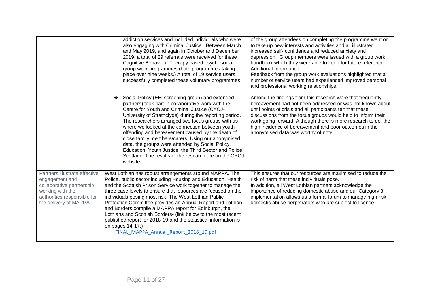|                                                                                                                                                          | addiction services and included individuals who were<br>also engaging with Criminal Justice. Between March<br>and May 2019, and again in October and December<br>2019, a total of 29 referrals were received for these<br>Cognitive Behaviour Therapy based psychosocial<br>group work programmes (both programmes taking<br>place over nine weeks.) A total of 19 service users<br>successfully completed these voluntary programmes.                                                                                                                                                                                                   | of the group attendees on completing the programme went on<br>to take up new interests and activities and all illustrated<br>increased self- confidence and reduced anxiety and<br>depression. Group members were issued with a group work<br>handbook which they were able to keep for future reference.<br>Additional Information<br>Feedback from the group work evaluations highlighted that a<br>number of service users had experienced improved personal<br>and professional working relationships. |
|----------------------------------------------------------------------------------------------------------------------------------------------------------|------------------------------------------------------------------------------------------------------------------------------------------------------------------------------------------------------------------------------------------------------------------------------------------------------------------------------------------------------------------------------------------------------------------------------------------------------------------------------------------------------------------------------------------------------------------------------------------------------------------------------------------|------------------------------------------------------------------------------------------------------------------------------------------------------------------------------------------------------------------------------------------------------------------------------------------------------------------------------------------------------------------------------------------------------------------------------------------------------------------------------------------------------------|
|                                                                                                                                                          | Social Policy (EEI screening group) and extended<br>partners) took part in collaborative work with the<br>Centre for Youth and Criminal Justice (CYCJ-<br>University of Strathclyde) during the reporting period.<br>The researchers arranged two focus groups with us<br>where we looked at the connection between youth<br>offending and bereavement caused by the death of<br>close family members/carers. Using our anonymised<br>data, the groups were attended by Social Policy,<br>Education, Youth Justice, the Third Sector and Police<br>Scotland. The results of the research are on the CYCJ<br>website.                     | Among the findings from this research were that frequently<br>bereavement had not been addressed or was not known about<br>until points of crisis and all participants felt that these<br>discussions from the focus groups would help to inform their<br>work going forward. Although there is more research to do, the<br>high incidence of bereavement and poor outcomes in the<br>anonymised data was worthy of note.                                                                                  |
| Partners illustrate effective<br>engagement and<br>collaborative partnership<br>working with the<br>authorities responsible for<br>the delivery of MAPPA | West Lothian has robust arrangements around MAPPA. The<br>Police, public sector including Housing and Education, Health<br>and the Scottish Prison Service work together to manage the<br>three case levels to ensure that resources are focused on the<br>individuals posing most risk. The West Lothian Public<br>Protection Committee provides an Annual Report and Lothian<br>and Borders compile a MAPPA report for Edinburgh, the<br>Lothians and Scottish Borders- (link below to the most recent<br>published report for 2018-19 and the statistical information is<br>on pages 14-17.)<br>FINAL MAPPA Annual Report 2018 19.pdf | This ensures that our resources are maximised to reduce the<br>risk of harm that these individuals pose.<br>In addition, all West Lothian partners acknowledge the<br>importance of reducing domestic abuse and our Category 3<br>implementation allows us a formal forum to manage high risk<br>domestic abuse perpetrators who are subject to licence.                                                                                                                                                   |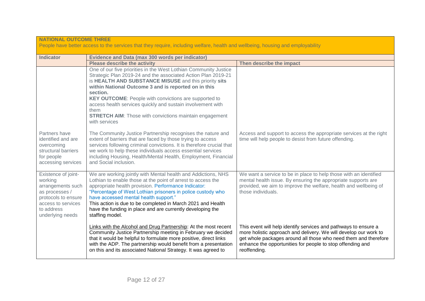| <b>NATIONAL OUTCOME THREE</b><br>People have better access to the services that they require, including welfare, health and wellbeing, housing and employability |                                                                                                                                                                                                                                                                                                                                                                                                                                                                                          |                                                                                                                                                                                                                                                                                      |
|------------------------------------------------------------------------------------------------------------------------------------------------------------------|------------------------------------------------------------------------------------------------------------------------------------------------------------------------------------------------------------------------------------------------------------------------------------------------------------------------------------------------------------------------------------------------------------------------------------------------------------------------------------------|--------------------------------------------------------------------------------------------------------------------------------------------------------------------------------------------------------------------------------------------------------------------------------------|
|                                                                                                                                                                  |                                                                                                                                                                                                                                                                                                                                                                                                                                                                                          |                                                                                                                                                                                                                                                                                      |
| <b>Indicator</b>                                                                                                                                                 | <b>Evidence and Data (max 300 words per indicator)</b><br><b>Please describe the activity</b>                                                                                                                                                                                                                                                                                                                                                                                            | Then describe the impact                                                                                                                                                                                                                                                             |
|                                                                                                                                                                  | One of our five priorities in the West Lothian Community Justice<br>Strategic Plan 2019-24 and the associated Action Plan 2019-21<br>is HEALTH AND SUBSTANCE MISUSE and this priority sits<br>within National Outcome 3 and is reported on in this<br>section.<br><b>KEY OUTCOME:</b> People with convictions are supported to<br>access health services quickly and sustain involvement with<br>them<br><b>STRETCH AIM:</b> Those with convictions maintain engagement<br>with services |                                                                                                                                                                                                                                                                                      |
| Partners have<br>identified and are<br>overcoming<br>structural barriers<br>for people<br>accessing services                                                     | The Community Justice Partnership recognises the nature and<br>extent of barriers that are faced by those trying to access<br>services following criminal convictions. It is therefore crucial that<br>we work to help these individuals access essential services<br>including Housing, Health/Mental Health, Employment, Financial<br>and Social inclusion.                                                                                                                            | Access and support to access the appropriate services at the right<br>time will help people to desist from future offending.                                                                                                                                                         |
| Existence of joint-<br>working<br>arrangements such<br>as processes /<br>protocols to ensure<br>access to services<br>to address<br>underlying needs             | We are working jointly with Mental health and Addictions, NHS<br>Lothian to enable those at the point of arrest to access the<br>appropriate health provision. Performance Indicator:<br>"Percentage of West Lothian prisoners in police custody who<br>have accessed mental health support."<br>This action is due to be completed in March 2021 and Health<br>have the funding in place and are currently developing the<br>staffing model.                                            | We want a service to be in place to help those with an identified<br>mental health issue. By ensuring the appropriate supports are<br>provided, we aim to improve the welfare, health and wellbeing of<br>those individuals.                                                         |
|                                                                                                                                                                  | Links with the Alcohol and Drug Partnership: At the most recent<br>Community Justice Partnership meeting in February we decided<br>that it would be helpful to formulate more positive, direct links<br>with the ADP. The partnership would benefit from a presentation<br>on this and its associated National Strategy. It was agreed to                                                                                                                                                | This event will help identify services and pathways to ensure a<br>more holistic approach and delivery. We will develop our work to<br>get whole packages around all those who need them and therefore<br>enhance the opportunities for people to stop offending and<br>reoffending. |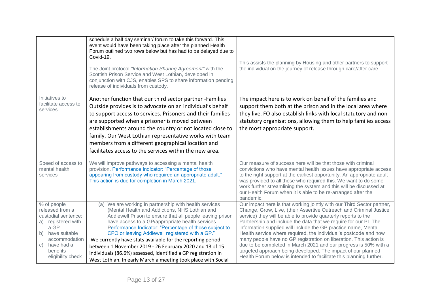|                                                                                                                                                                                  | schedule a half day seminar/ forum to take this forward. This<br>event would have been taking place after the planned Health<br>Forum outlined two rows below but has had to be delayed due to<br>Covid-19.<br>The Joint protocol "Information Sharing Agreement" with the<br>Scottish Prison Service and West Lothian, developed in<br>conjunction with CJS, enables SPS to share information pending<br>release of individuals from custody.                                                                                                                                                    | This assists the planning by Housing and other partners to support<br>the individual on the journey of release through care/after care.                                                                                                                                                                                                                                                                                                                                                                                                                                                                                                                                                                  |
|----------------------------------------------------------------------------------------------------------------------------------------------------------------------------------|---------------------------------------------------------------------------------------------------------------------------------------------------------------------------------------------------------------------------------------------------------------------------------------------------------------------------------------------------------------------------------------------------------------------------------------------------------------------------------------------------------------------------------------------------------------------------------------------------|----------------------------------------------------------------------------------------------------------------------------------------------------------------------------------------------------------------------------------------------------------------------------------------------------------------------------------------------------------------------------------------------------------------------------------------------------------------------------------------------------------------------------------------------------------------------------------------------------------------------------------------------------------------------------------------------------------|
| Initiatives to<br>facilitate access to<br>services                                                                                                                               | Another function that our third sector partner -Families<br>Outside provides is to advocate on an individual's behalf<br>to support access to services. Prisoners and their families<br>are supported when a prisoner is moved between<br>establishments around the country or not located close to<br>family. Our West Lothian representative works with team<br>members from a different geographical location and<br>facilitates access to the services within the new area.                                                                                                                   | The impact here is to work on behalf of the families and<br>support them both at the prison and in the local area where<br>they live. FO also establish links with local statutory and non-<br>statutory organisations, allowing them to help families access<br>the most appropriate support.                                                                                                                                                                                                                                                                                                                                                                                                           |
| Speed of access to<br>mental health<br>services                                                                                                                                  | We will improve pathways to accessing a mental health<br>provision. Performance Indicator: "Percentage of those<br>appearing from custody who required an appropriate adult."<br>This action is due for completion in March 2021.                                                                                                                                                                                                                                                                                                                                                                 | Our measure of success here will be that those with criminal<br>convictions who have mental health issues have appropriate access<br>to the right support at the earliest opportunity. An appropriate adult<br>was provided to all those who required this. We want to do some<br>work further streamlining the system and this will be discussed at<br>our Health Forum when it is able to be re-arranged after the<br>pandemic.                                                                                                                                                                                                                                                                        |
| % of people<br>released from a<br>custodial sentence:<br>registered with<br>a)<br>a GP<br>b) have suitable<br>accommodation<br>have had a<br>C)<br>benefits<br>eligibility check | (a) We are working in partnership with health services<br>(Mental Health and Addictions, NHS Lothian and<br>Addiewell Prison to ensure that all people leaving prison<br>have access to a GP/appropriate health services.<br>Performance Indicator: "Percentage of those subject to<br>CPO or leaving Addiewell registered with a GP."<br>We currently have stats available for the reporting period<br>between 1 November 2019 - 26 February 2020 and 13 of 15<br>individuals (86.6%) assessed, identified a GP registration in<br>West Lothian. In early March a meeting took place with Social | Our impact here is that working jointly with our Third Sector partner,<br>Change, Grow, Live, (their Assertive Outreach and Criminal Justice<br>service) they will be able to provide quarterly reports to the<br>Partnership and include the data that we require for our PI. The<br>information supplied will include the GP practice name, Mental<br>Health service where required, the individual's postcode and how<br>many people have no GP registration on liberation. This action is<br>due to be completed in March 2021 and our progress is 50% with a<br>targeted approach being developed. The impact of our planned<br>Health Forum below is intended to facilitate this planning further. |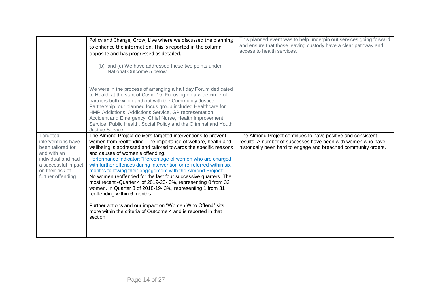|                                                                                                                                                          | Policy and Change, Grow, Live where we discussed the planning<br>to enhance the information. This is reported in the column<br>opposite and has progressed as detailed.<br>(b) and (c) We have addressed these two points under<br>National Outcome 5 below.                                                                                                                                                                                                                                                                                                                                                                                                                                                                                                                                                          | This planned event was to help underpin out services going forward<br>and ensure that those leaving custody have a clear pathway and<br>access to health services.                              |
|----------------------------------------------------------------------------------------------------------------------------------------------------------|-----------------------------------------------------------------------------------------------------------------------------------------------------------------------------------------------------------------------------------------------------------------------------------------------------------------------------------------------------------------------------------------------------------------------------------------------------------------------------------------------------------------------------------------------------------------------------------------------------------------------------------------------------------------------------------------------------------------------------------------------------------------------------------------------------------------------|-------------------------------------------------------------------------------------------------------------------------------------------------------------------------------------------------|
|                                                                                                                                                          | We were in the process of arranging a half day Forum dedicated<br>to Health at the start of Covid-19. Focusing on a wide circle of<br>partners both within and out with the Community Justice<br>Partnership, our planned focus group included Healthcare for<br>HMP Addictions, Addictions Service, GP representation,<br>Accident and Emergency, Chief Nurse, Health Improvement<br>Service, Public Health, Social Policy and the Criminal and Youth<br>Justice Service.                                                                                                                                                                                                                                                                                                                                            |                                                                                                                                                                                                 |
| Targeted<br>interventions have<br>been tailored for<br>and with an<br>individual and had<br>a successful impact<br>on their risk of<br>further offending | The Almond Project delivers targeted interventions to prevent<br>women from reoffending. The importance of welfare, health and<br>wellbeing is addressed and tailored towards the specific reasons<br>and causes of women's offending.<br>Performance indicator: "Percentage of women who are charged<br>with further offences during intervention or re-referred within six<br>months following their engagement with the Almond Project".<br>No women reoffended for the last four successive quarters. The<br>most recent - Quarter 4 of 2019-20-0%, representing 0 from 32<br>women. In Quarter 3 of 2018-19-3%, representing 1 from 31<br>reoffending within 6 months.<br>Further actions and our impact on "Women Who Offend" sits<br>more within the criteria of Outcome 4 and is reported in that<br>section. | The Almond Project continues to have positive and consistent<br>results. A number of successes have been with women who have<br>historically been hard to engage and breached community orders. |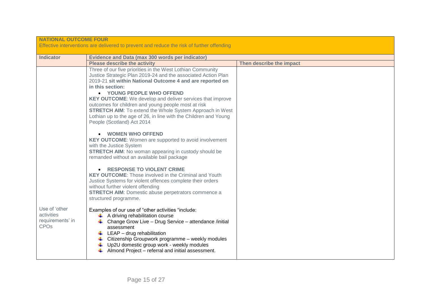| <b>NATIONAL OUTCOME FOUR</b><br>Effective interventions are delivered to prevent and reduce the risk of further offending |                                                                                                                                                                                                                                                                                                                                                                                                                                                                                                                                           |                          |  |
|---------------------------------------------------------------------------------------------------------------------------|-------------------------------------------------------------------------------------------------------------------------------------------------------------------------------------------------------------------------------------------------------------------------------------------------------------------------------------------------------------------------------------------------------------------------------------------------------------------------------------------------------------------------------------------|--------------------------|--|
| <b>Indicator</b>                                                                                                          | <b>Evidence and Data (max 300 words per indicator)</b>                                                                                                                                                                                                                                                                                                                                                                                                                                                                                    |                          |  |
|                                                                                                                           | <b>Please describe the activity</b>                                                                                                                                                                                                                                                                                                                                                                                                                                                                                                       | Then describe the impact |  |
|                                                                                                                           | Three of our five priorities in the West Lothian Community<br>Justice Strategic Plan 2019-24 and the associated Action Plan<br>2019-21 sit within National Outcome 4 and are reported on<br>in this section:<br>• YOUNG PEOPLE WHO OFFEND<br><b>KEY OUTCOME:</b> We develop and deliver services that improve<br>outcomes for children and young people most at risk<br><b>STRETCH AIM:</b> To extend the Whole System Approach in West<br>Lothian up to the age of 26, in line with the Children and Young<br>People (Scotland) Act 2014 |                          |  |
|                                                                                                                           | • WOMEN WHO OFFEND<br><b>KEY OUTCOME:</b> Women are supported to avoid involvement<br>with the Justice System<br><b>STRETCH AIM:</b> No woman appearing in custody should be<br>remanded without an available bail package                                                                                                                                                                                                                                                                                                                |                          |  |
|                                                                                                                           | • RESPONSE TO VIOLENT CRIME<br><b>KEY OUTCOME:</b> Those involved in the Criminal and Youth<br>Justice Systems for violent offences complete their orders<br>without further violent offending<br><b>STRETCH AIM:</b> Domestic abuse perpetrators commence a<br>structured programme.                                                                                                                                                                                                                                                     |                          |  |
| Use of 'other<br>activities<br>requirements' in<br><b>CPO<sub>s</sub></b>                                                 | Examples of our use of "other activities "include:<br>$\leftarrow$ A driving rehabilitation course<br>Change Grow Live - Drug Service - attendance /initial<br>assessment<br>LEAP - drug rehabilitation<br>÷<br>Citizenship Groupwork programme - weekly modules<br>÷<br>Up2U domestic group work - weekly modules<br>Almond Project - referral and initial assessment.                                                                                                                                                                   |                          |  |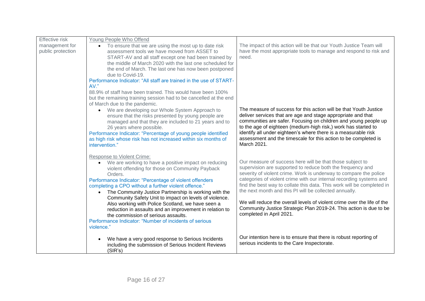| <b>Effective risk</b> | Young People Who Offend                                                                                                                                        |                                                                                                                  |  |
|-----------------------|----------------------------------------------------------------------------------------------------------------------------------------------------------------|------------------------------------------------------------------------------------------------------------------|--|
| management for        | To ensure that we are using the most up to date risk<br>$\bullet$                                                                                              | The impact of this action will be that our Youth Justice Team will                                               |  |
| public protection     | assessment tools we have moved from ASSET to                                                                                                                   | have the most appropriate tools to manage and respond to risk and                                                |  |
|                       | START-AV and all staff except one had been trained by                                                                                                          | need.                                                                                                            |  |
|                       | the middle of March 2020 with the last one scheduled for                                                                                                       |                                                                                                                  |  |
|                       | the end of March. The last one has now been postponed                                                                                                          |                                                                                                                  |  |
|                       | due to Covid-19.                                                                                                                                               |                                                                                                                  |  |
|                       | Performance Indicator: "All staff are trained in the use of START-<br>AV."                                                                                     |                                                                                                                  |  |
|                       | 88.9% of staff have been trained. This would have been 100%                                                                                                    |                                                                                                                  |  |
|                       | but the remaining training session had to be cancelled at the end                                                                                              |                                                                                                                  |  |
|                       | of March due to the pandemic.                                                                                                                                  |                                                                                                                  |  |
|                       | • We are developing our Whole System Approach to                                                                                                               | The measure of success for this action will be that Youth Justice                                                |  |
|                       | ensure that the risks presented by young people are                                                                                                            | deliver services that are age and stage appropriate and that                                                     |  |
|                       | managed and that they are included to 21 years and to                                                                                                          | communities are safer. Focusing on children and young people up                                                  |  |
|                       | 26 years where possible.                                                                                                                                       | to the age of eighteen (medium-high risk,) work has started to                                                   |  |
|                       | Performance Indicator: "Percentage of young people identified                                                                                                  | identify all under eighteen's where there is a measurable risk                                                   |  |
|                       | as high risk whose risk has not increased within six months of<br>intervention."                                                                               | assessment and the timescale for this action to be completed is<br>March 2021.                                   |  |
|                       |                                                                                                                                                                |                                                                                                                  |  |
|                       |                                                                                                                                                                |                                                                                                                  |  |
|                       | Response to Violent Crime:<br>We are working to have a positive impact on reducing<br>$\bullet$<br>violent offending for those on Community Payback<br>Orders. | Our measure of success here will be that those subject to                                                        |  |
|                       |                                                                                                                                                                | supervision are supported to reduce both the frequency and                                                       |  |
|                       |                                                                                                                                                                | severity of violent crime. Work is underway to compare the police                                                |  |
|                       | Performance Indicator: "Percentage of violent offenders                                                                                                        | categories of violent crime with our internal recording systems and                                              |  |
|                       | completing a CPO without a further violent offence."                                                                                                           | find the best way to collate this data. This work will be completed in                                           |  |
|                       | The Community Justice Partnership is working with the<br>$\bullet$                                                                                             | the next month and this PI will be collected annually.                                                           |  |
|                       | Community Safety Unit to impact on levels of violence.                                                                                                         |                                                                                                                  |  |
|                       | Also working with Police Scotland, we have seen a                                                                                                              | We will reduce the overall levels of violent crime over the life of the                                          |  |
|                       | reduction in assaults and an improvement in relation to                                                                                                        | Community Justice Strategic Plan 2019-24. This action is due to be                                               |  |
|                       | the commission of serious assaults.                                                                                                                            | completed in April 2021.                                                                                         |  |
|                       | Performance Indicator: "Number of incidents of serious                                                                                                         |                                                                                                                  |  |
|                       | violence."                                                                                                                                                     |                                                                                                                  |  |
|                       | We have a very good response to Serious Incidents                                                                                                              |                                                                                                                  |  |
|                       |                                                                                                                                                                | Our intention here is to ensure that there is robust reporting of<br>serious incidents to the Care Inspectorate. |  |
|                       | including the submission of Serious Incident Reviews                                                                                                           |                                                                                                                  |  |
|                       | (SIR's)                                                                                                                                                        |                                                                                                                  |  |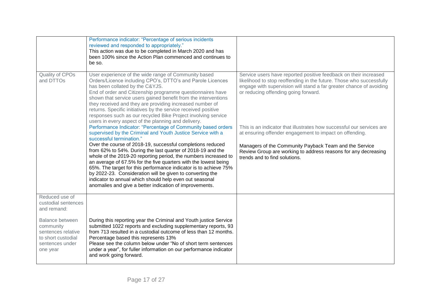|                                                                                                         | Performance indicator: "Percentage of serious incidents<br>reviewed and responded to appropriately."<br>This action was due to be completed in March 2020 and has<br>been 100% since the Action Plan commenced and continues to<br>be so.                                                                                                                                                                                                                                                                                                                                                                                                                                         |                                                                                                                                                                                                                                                                                               |
|---------------------------------------------------------------------------------------------------------|-----------------------------------------------------------------------------------------------------------------------------------------------------------------------------------------------------------------------------------------------------------------------------------------------------------------------------------------------------------------------------------------------------------------------------------------------------------------------------------------------------------------------------------------------------------------------------------------------------------------------------------------------------------------------------------|-----------------------------------------------------------------------------------------------------------------------------------------------------------------------------------------------------------------------------------------------------------------------------------------------|
| Quality of CPOs<br>and DTTOs                                                                            | User experience of the wide range of Community based<br>Orders/Licence including CPO's, DTTO's and Parole Licences<br>has been collated by the C&YJS.<br>End of order and Citizenship programme questionnaires have<br>shown that service users gained benefit from the interventions<br>they received and they are providing increased number of<br>returns. Specific initiatives by the service received positive<br>responses such as our recycled Bike Project involving service<br>users in every aspect of the planning and delivery.                                                                                                                                       | Service users have reported positive feedback on their increased<br>likelihood to stop reoffending in the future. Those who successfully<br>engage with supervision will stand a far greater chance of avoiding<br>or reducing offending going forward.                                       |
|                                                                                                         | Performance Indicator: "Percentage of Community based orders<br>supervised by the Criminal and Youth Justice Service with a<br>successful termination."<br>Over the course of 2018-19, successful completions reduced<br>from 62% to 54%. During the last quarter of 2018-19 and the<br>whole of the 2019-20 reporting period, the numbers increased to<br>an average of 67.5% for the five quarters with the lowest being<br>65%. The target for this performance indicator is to achieve 75%<br>by 2022-23. Consideration will be given to converting the<br>indicator to annual which should help even out seasonal<br>anomalies and give a better indication of improvements. | This is an indicator that illustrates how successful our services are<br>at ensuring offender engagement to impact on offending.<br>Managers of the Community Payback Team and the Service<br>Review Group are working to address reasons for any decreasing<br>trends and to find solutions. |
| Reduced use of<br>custodial sentences<br>and remand:                                                    |                                                                                                                                                                                                                                                                                                                                                                                                                                                                                                                                                                                                                                                                                   |                                                                                                                                                                                                                                                                                               |
| Balance between<br>community<br>sentences relative<br>to short custodial<br>sentences under<br>one year | During this reporting year the Criminal and Youth justice Service<br>submitted 1022 reports and excluding supplementary reports, 93<br>from 713 resulted in a custodial outcome of less than 12 months.<br>Percentage based this represents 13%<br>Please see the column below under "No of short term sentences<br>under a year", for fuller information on our performance indicator<br>and work going forward.                                                                                                                                                                                                                                                                 |                                                                                                                                                                                                                                                                                               |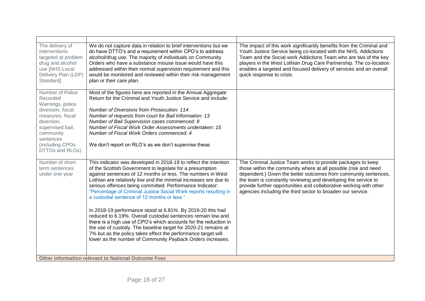| The delivery of<br>interventions<br>targeted at problem<br>drug and alcohol<br>use [NHS Local<br>Delivery Plan (LDP)<br>Standard]                                                            | We do not capture data in relation to brief interventions but we<br>do have DTTO's and a requirement within CPO's to address<br>alcohol/drug use. The majority of individuals on Community<br>Orders who have a substance misuse issue would have this<br>addressed within their normal supervision requirement and this<br>would be monitored and reviewed within their risk management<br>plan or their care plan.                                                                                                                                                                                                                                                                                                                                                                                                                              | The impact of this work significantly benefits from the Criminal and<br>Youth Justice Service being co-located with the NHS, Addictions<br>Team and the Social work Addictions Team who are two of the key<br>players in the West Lothian Drug Care Partnership. The co-location<br>enables a targeted and focused delivery of services and an overall<br>quick response to crisis.                      |
|----------------------------------------------------------------------------------------------------------------------------------------------------------------------------------------------|---------------------------------------------------------------------------------------------------------------------------------------------------------------------------------------------------------------------------------------------------------------------------------------------------------------------------------------------------------------------------------------------------------------------------------------------------------------------------------------------------------------------------------------------------------------------------------------------------------------------------------------------------------------------------------------------------------------------------------------------------------------------------------------------------------------------------------------------------|----------------------------------------------------------------------------------------------------------------------------------------------------------------------------------------------------------------------------------------------------------------------------------------------------------------------------------------------------------------------------------------------------------|
| Number of Police<br>Recorded<br>Warnings, police<br>diversion, fiscal<br>measures, fiscal<br>diversion,<br>supervised bail,<br>community<br>sentences<br>(including CPOs,<br>DTTOs and RLOs) | Most of the figures here are reported in the Annual Aggregate<br>Return for the Criminal and Youth Justice Service and include:<br><b>Number of Diversions from Prosecution: 114</b><br>Number of requests from court for Bail Information: 13<br>Number of Bail Supervision cases commenced: 8<br>Number of Fiscal Work Order Assessments undertaken: 15<br>Number of Fiscal Work Orders commenced: 4<br>We don't report on RLO's as we don't supervise these.                                                                                                                                                                                                                                                                                                                                                                                   |                                                                                                                                                                                                                                                                                                                                                                                                          |
| Number of short-<br>term sentences<br>under one year                                                                                                                                         | This indicator was developed in 2018-19 to reflect the intention<br>of the Scottish Government to legislate for a presumption<br>against sentences of 12 months or less. The numbers in West<br>Lothian are relatively low and the minimal increases are due to<br>serious offences being committed. Performance Indicator:<br>"Percentage of Criminal Justice Social Work reports resulting in<br>a custodial sentence of 12 months or less."<br>In 2018-19 performance stood at 6.81%. By 2019-20 this had<br>reduced to 6.19%. Overall custodial sentences remain low and<br>there is a high use of CPO's which accounts for the reduction in<br>the use of custody. The baseline target for 2020-21 remains at<br>7% but as the policy takes effect the performance target will<br>lower as the number of Community Payback Orders increases. | The Criminal Justice Team works to provide packages to keep<br>those within the community where at all possible (risk and need<br>dependent.) Given the better outcomes from community sentences,<br>the team is constantly reviewing and developing the service to<br>provide further opportunities and collaborative working with other<br>agencies including the third sector to broaden our service. |
| <b>Other information relevant to National Outcome Four</b>                                                                                                                                   |                                                                                                                                                                                                                                                                                                                                                                                                                                                                                                                                                                                                                                                                                                                                                                                                                                                   |                                                                                                                                                                                                                                                                                                                                                                                                          |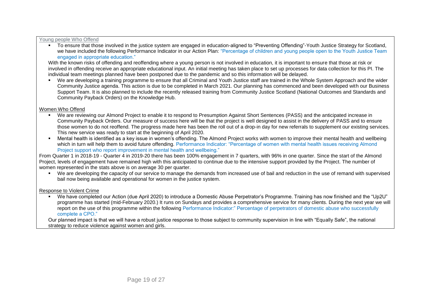#### Young people Who Offend

▪ To ensure that those involved in the justice system are engaged in education-aligned to "Preventing Offending"-Youth Justice Strategy for Scotland, we have included the following Performance Indicator in our Action Plan: "Percentage of children and young people open to the Youth Justice Team engaged in appropriate education."

With the known risks of offending and reoffending where a young person is not involved in education, it is important to ensure that those at risk or involved in offending receive an appropriate educational input. An initial meeting has taken place to set up processes for data collection for this PI. The individual team meetings planned have been postponed due to the pandemic and so this information will be delayed.

▪ We are developing a training programme to ensure that all Criminal and Youth Justice staff are trained in the Whole System Approach and the wider Community Justice agenda. This action is due to be completed in March 2021. Our planning has commenced and been developed with our Business Support Team. It is also planned to include the recently released training from Community Justice Scotland (National Outcomes and Standards and Community Payback Orders) on the Knowledge Hub.

## Women Who Offend

- We are reviewing our Almond Project to enable it to respond to Presumption Against Short Sentences (PASS) and the anticipated increase in Community Payback Orders. Our measure of success here will be that the project is well designed to assist in the delivery of PASS and to ensure those women to do not reoffend. The progress made here has been the roll out of a drop-in day for new referrals to supplement our existing services. This new service was ready to start at the beginning of April 2020.
- Mental health is identified as a key issue in women's offending. The Almond Project works with women to improve their mental health and wellbeing which in turn will help them to avoid future offending. Performance Indicator: "Percentage of women with mental health issues receiving Almond Project support who report improvement in mental health and wellbeing."

From Quarter 1 in 2018-19 - Quarter 4 in 2019-20 there has been 100% engagement in 7 quarters, with 96% in one quarter. Since the start of the Almond Project, levels of engagement have remained high with this anticipated to continue due to the intensive support provided by the Project. The number of women represented in the stats above is on average 30 per quarter.

■ We are developing the capacity of our service to manage the demands from increased use of bail and reduction in the use of remand with supervised bail now being available and operational for women in the justice system.

## Response to Violent Crime

We have completed our Action (due April 2020) to introduce a Domestic Abuse Perpetrator's Programme. Training has now finished and the "Up2U" programme has started (mid-February 2020.) It runs on Sundays and provides a comprehensive service for many clients. During the next year we will report on the use of this programme within the following Performance Indicator:" Percentage of perpetrators of domestic abuse who successfully complete a CPO."

Our planned impact is that we will have a robust justice response to those subject to community supervision in line with "Equally Safe", the national strategy to reduce violence against women and girls.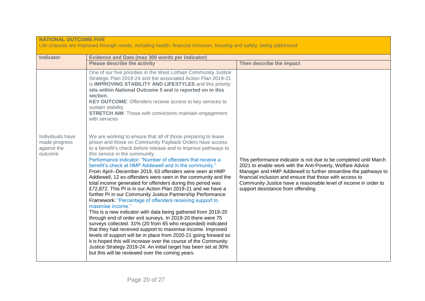| <b>NATIONAL OUTCOME FIVE</b><br>Life chances are improved through needs, including health, financial inclusion, housing and safety, being addressed |                                                                                                                                                                                                                                                                                                                                                                                                                                                                                                                                                                                                                                                                                                                                                                                                                                                                                                                                                                                                                                                                                                                                                                                                                               |                                                                                                                                                                                                                                                                                                                                                                        |
|-----------------------------------------------------------------------------------------------------------------------------------------------------|-------------------------------------------------------------------------------------------------------------------------------------------------------------------------------------------------------------------------------------------------------------------------------------------------------------------------------------------------------------------------------------------------------------------------------------------------------------------------------------------------------------------------------------------------------------------------------------------------------------------------------------------------------------------------------------------------------------------------------------------------------------------------------------------------------------------------------------------------------------------------------------------------------------------------------------------------------------------------------------------------------------------------------------------------------------------------------------------------------------------------------------------------------------------------------------------------------------------------------|------------------------------------------------------------------------------------------------------------------------------------------------------------------------------------------------------------------------------------------------------------------------------------------------------------------------------------------------------------------------|
| <b>Indicator</b>                                                                                                                                    | <b>Evidence and Data (max 300 words per indicator)</b><br><b>Please describe the activity</b><br>Then describe the impact                                                                                                                                                                                                                                                                                                                                                                                                                                                                                                                                                                                                                                                                                                                                                                                                                                                                                                                                                                                                                                                                                                     |                                                                                                                                                                                                                                                                                                                                                                        |
| Individuals have                                                                                                                                    | One of our five priorities in the West Lothian Community Justice<br>Strategic Plan 2019-24 and the associated Action Plan 2019-21<br>is IMPROVING STABILITY AND LIFESTYLES and this priority<br>sits within National Outcome 5 and is reported on in this<br>section.<br>KEY OUTCOME: Offenders receive access to key services to<br>sustain stability<br><b>STRETCH AIM:</b> Those with convictions maintain engagement<br>with services<br>We are working to ensure that all of those preparing to leave                                                                                                                                                                                                                                                                                                                                                                                                                                                                                                                                                                                                                                                                                                                    |                                                                                                                                                                                                                                                                                                                                                                        |
| made progress<br>against the<br>outcome                                                                                                             | prison and those on Community Payback Orders have access<br>to a benefit's check before release and to improve pathways to<br>this service in the community.<br>Performance indicator: "Number of offenders that receive a<br>benefit's check at HMP Addiewell and in the community."<br>From April--December 2019, 63 offenders were seen at HMP<br>Addiewell, 12 ex-offenders were seen in the community and the<br>total income generated for offenders during this period was<br>£72,872. This PI is in our Action Plan 2019-21 and we have a<br>further PI in our Community Justice Partnership Performance<br>Framework: "Percentage of offenders receiving support to<br>maximise income."<br>This is a new indicator with data being gathered from 2019-20<br>through end of order exit surveys. In 2019-20 there were 75<br>surveys collected. 31% (20 from 65 who responded) indicated<br>that they had received support to maximise income. Improved<br>levels of support will be in place from 2020-21 going forward so<br>it is hoped this will increase over the course of the Community<br>Justice Strategy 2019-24. An initial target has been set at 30%<br>but this will be reviewed over the coming years. | This performance indicator is not due to be completed until March<br>2021 to enable work with the Anti-Poverty, Welfare Advice<br>Manager and HMP Addiewell to further streamline the pathways to<br>financial inclusion and ensure that those with access to<br>Community Justice have a reasonable level of income in order to<br>support desistance from offending. |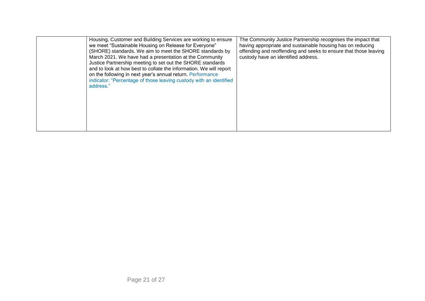| address." | Housing, Customer and Building Services are working to ensure<br>we meet "Sustainable Housing on Release for Everyone"<br>(SHORE) standards. We aim to meet the SHORE standards by<br>March 2021. We have had a presentation at the Community<br>Justice Partnership meeting to set out the SHORE standards<br>and to look at how best to collate the information. We will report<br>on the following in next year's annual return. Performance<br>indicator: "Percentage of those leaving custody with an identified | The Community Justice Partnership recognises the impact that<br>having appropriate and sustainable housing has on reducing<br>offending and reoffending and seeks to ensure that those leaving<br>custody have an identified address. |
|-----------|-----------------------------------------------------------------------------------------------------------------------------------------------------------------------------------------------------------------------------------------------------------------------------------------------------------------------------------------------------------------------------------------------------------------------------------------------------------------------------------------------------------------------|---------------------------------------------------------------------------------------------------------------------------------------------------------------------------------------------------------------------------------------|
|-----------|-----------------------------------------------------------------------------------------------------------------------------------------------------------------------------------------------------------------------------------------------------------------------------------------------------------------------------------------------------------------------------------------------------------------------------------------------------------------------------------------------------------------------|---------------------------------------------------------------------------------------------------------------------------------------------------------------------------------------------------------------------------------------|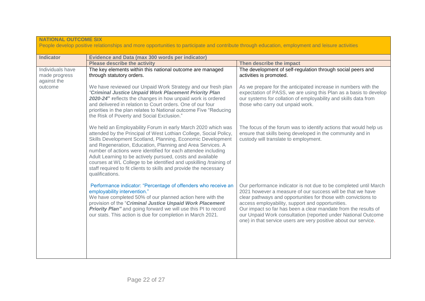| <b>NATIONAL OUTCOME SIX</b><br>People develop positive relationships and more opportunities to participate and contribute through education, employment and leisure activities |                                                                                                                                                                                                                                                                                                                                                                                                                                                                                                                                                             |                                                                                                                                                                                                                                                                                                                                                                                                                                                            |  |
|--------------------------------------------------------------------------------------------------------------------------------------------------------------------------------|-------------------------------------------------------------------------------------------------------------------------------------------------------------------------------------------------------------------------------------------------------------------------------------------------------------------------------------------------------------------------------------------------------------------------------------------------------------------------------------------------------------------------------------------------------------|------------------------------------------------------------------------------------------------------------------------------------------------------------------------------------------------------------------------------------------------------------------------------------------------------------------------------------------------------------------------------------------------------------------------------------------------------------|--|
| <b>Indicator</b>                                                                                                                                                               | Evidence and Data (max 300 words per indicator)                                                                                                                                                                                                                                                                                                                                                                                                                                                                                                             |                                                                                                                                                                                                                                                                                                                                                                                                                                                            |  |
|                                                                                                                                                                                | <b>Please describe the activity</b>                                                                                                                                                                                                                                                                                                                                                                                                                                                                                                                         | Then describe the impact                                                                                                                                                                                                                                                                                                                                                                                                                                   |  |
| Individuals have<br>made progress<br>against the                                                                                                                               | The key elements within this national outcome are managed<br>through statutory orders.                                                                                                                                                                                                                                                                                                                                                                                                                                                                      | The development of self-regulation through social peers and<br>activities is promoted.                                                                                                                                                                                                                                                                                                                                                                     |  |
| outcome                                                                                                                                                                        | We have reviewed our Unpaid Work Strategy and our fresh plan<br>"Criminal Justice Unpaid Work Placement Priority Plan<br>2020-24" reflects the changes in how unpaid work is ordered<br>and delivered in relation to Court orders. One of our four<br>priorities in the plan relates to National outcome Five "Reducing<br>the Risk of Poverty and Social Exclusion."                                                                                                                                                                                       | As we prepare for the anticipated increase in numbers with the<br>expectation of PASS, we are using this Plan as a basis to develop<br>our systems for collation of employability and skills data from<br>those who carry out unpaid work.                                                                                                                                                                                                                 |  |
|                                                                                                                                                                                | We held an Employability Forum in early March 2020 which was<br>attended by the Principal of West Lothian College, Social Policy,<br>Skills Development Scotland, Planning, Economic Development<br>and Regeneration, Education, Planning and Area Services. A<br>number of actions were identified for each attendee including<br>Adult Learning to be actively pursued, costs and available<br>courses at WL College to be identified and upskilling /training of<br>staff required to fit clients to skills and provide the necessary<br>qualifications. | The focus of the forum was to identify actions that would help us<br>ensure that skills being developed in the community and in<br>custody will translate to employment.                                                                                                                                                                                                                                                                                   |  |
|                                                                                                                                                                                | Performance indicator: "Percentage of offenders who receive an<br>employability intervention."<br>We have completed 50% of our planned action here with the<br>provision of the "Criminal Justice Unpaid Work Placement<br>Priority Plan" and going forward we will use this PI to record<br>our stats. This action is due for completion in March 2021.                                                                                                                                                                                                    | Our performance indicator is not due to be completed until March<br>2021 however a measure of our success will be that we have<br>clear pathways and opportunities for those with convictions to<br>access employability, support and opportunities.<br>Our impact so far has been a clear mandate from the results of<br>our Unpaid Work consultation (reported under National Outcome<br>one) in that service users are very positive about our service. |  |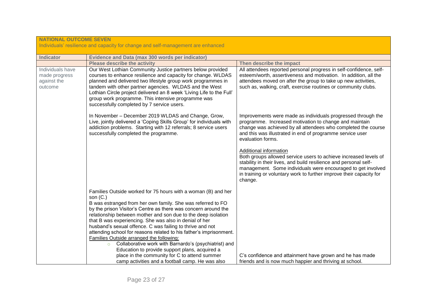| <b>NATIONAL OUTCOME SEVEN</b><br>Individuals' resilience and capacity for change and self-management are enhanced |                                                                                                                                                                                                                                                                                                                                                                                                                                                                                                                                                                                                                                                                                                                                                   |                                                                                                                                                                                                                                                                                                                                                                                                                                                                                                                                                                                                |  |
|-------------------------------------------------------------------------------------------------------------------|---------------------------------------------------------------------------------------------------------------------------------------------------------------------------------------------------------------------------------------------------------------------------------------------------------------------------------------------------------------------------------------------------------------------------------------------------------------------------------------------------------------------------------------------------------------------------------------------------------------------------------------------------------------------------------------------------------------------------------------------------|------------------------------------------------------------------------------------------------------------------------------------------------------------------------------------------------------------------------------------------------------------------------------------------------------------------------------------------------------------------------------------------------------------------------------------------------------------------------------------------------------------------------------------------------------------------------------------------------|--|
| <b>Indicator</b>                                                                                                  | <b>Evidence and Data (max 300 words per indicator)</b>                                                                                                                                                                                                                                                                                                                                                                                                                                                                                                                                                                                                                                                                                            |                                                                                                                                                                                                                                                                                                                                                                                                                                                                                                                                                                                                |  |
|                                                                                                                   | <b>Please describe the activity</b>                                                                                                                                                                                                                                                                                                                                                                                                                                                                                                                                                                                                                                                                                                               | Then describe the impact                                                                                                                                                                                                                                                                                                                                                                                                                                                                                                                                                                       |  |
| Individuals have<br>made progress<br>against the<br>outcome                                                       | Our West Lothian Community Justice partners below provided<br>courses to enhance resilience and capacity for change. WLDAS<br>planned and delivered two lifestyle group work programmes in<br>tandem with other partner agencies. WLDAS and the West<br>Lothian Circle project delivered an 8 week 'Living Life to the Full'<br>group work programme. This intensive programme was<br>successfully completed by 7 service users.                                                                                                                                                                                                                                                                                                                  | All attendees reported personal progress in self-confidence, self-<br>esteem/worth, assertiveness and motivation. In addition, all the<br>attendees moved on after the group to take up new activities,<br>such as, walking, craft, exercise routines or community clubs.                                                                                                                                                                                                                                                                                                                      |  |
|                                                                                                                   | In November - December 2019 WLDAS and Change, Grow,<br>Live, jointly delivered a 'Coping Skills Group' for individuals with<br>addiction problems. Starting with 12 referrals; 8 service users<br>successfully completed the programme.                                                                                                                                                                                                                                                                                                                                                                                                                                                                                                           | Improvements were made as individuals progressed through the<br>programme. Increased motivation to change and maintain<br>change was achieved by all attendees who completed the course<br>and this was illustrated in end of programme service user<br>evaluation forms.<br>Additional information<br>Both groups allowed service users to achieve increased levels of<br>stability in their lives, and build resilience and personal self-<br>management. Some individuals were encouraged to get involved<br>in training or voluntary work to further improve their capacity for<br>change. |  |
|                                                                                                                   | Families Outside worked for 75 hours with a woman (B) and her<br>son $(C.)$<br>B was estranged from her own family. She was referred to FO<br>by the prison Visitor's Centre as there was concern around the<br>relationship between mother and son due to the deep isolation<br>that B was experiencing. She was also in denial of her<br>husband's sexual offence. C was failing to thrive and not<br>attending school for reasons related to his father's imprisonment.<br>Families Outside arranged the following:<br>Collaborative work with Barnardo's (psychiatrist) and<br>$\circ$<br>Education to provide support plans, acquired a<br>place in the community for C to attend summer<br>camp activities and a football camp. He was also | C's confidence and attainment have grown and he has made<br>friends and is now much happier and thriving at school.                                                                                                                                                                                                                                                                                                                                                                                                                                                                            |  |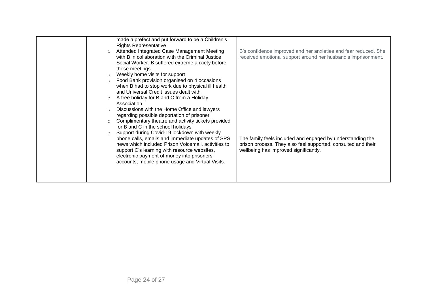| $\circ$<br>$\circ$<br>$\circ$<br>$\circ$ | made a prefect and put forward to be a Children's<br><b>Rights Representative</b><br>Attended Integrated Case Management Meeting<br>with B in collaboration with the Criminal Justice<br>Social Worker. B suffered extreme anxiety before<br>these meetings<br>Weekly home visits for support<br>Food Bank provision organised on 4 occasions<br>when B had to stop work due to physical ill health<br>and Universal Credit issues dealt with<br>A free holiday for B and C from a Holiday<br>Association<br>Discussions with the Home Office and lawyers<br>regarding possible deportation of prisoner | B's confidence improved and her anxieties and fear reduced. She<br>received emotional support around her husband's imprisonment.                                     |
|------------------------------------------|---------------------------------------------------------------------------------------------------------------------------------------------------------------------------------------------------------------------------------------------------------------------------------------------------------------------------------------------------------------------------------------------------------------------------------------------------------------------------------------------------------------------------------------------------------------------------------------------------------|----------------------------------------------------------------------------------------------------------------------------------------------------------------------|
| $\circ$<br>$\circ$                       | Complimentary theatre and activity tickets provided<br>for B and C in the school holidays<br>Support during Covid-19 lockdown with weekly<br>phone calls, emails and immediate updates of SPS<br>news which included Prison Voicemail, activities to<br>support C's learning with resource websites,<br>electronic payment of money into prisoners'<br>accounts, mobile phone usage and Virtual Visits.                                                                                                                                                                                                 | The family feels included and engaged by understanding the<br>prison process. They also feel supported, consulted and their<br>wellbeing has improved significantly. |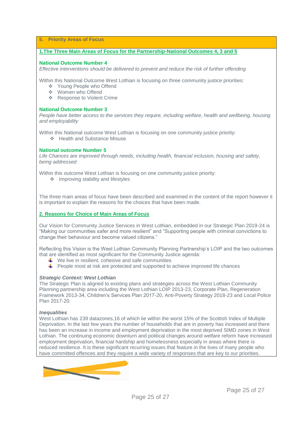## **5. Priority Areas of Focus**

## **1.The Three Main Areas of Focus for the Partnership-National Outcomes 4, 3 and 5**

#### **National Outcome Number 4**

*Effective interventions should be delivered to prevent and reduce the risk of further offending*

Within this National Outcome West Lothian is focusing on three community justice priorities:

- ❖ Young People who Offend
- ❖ Women who Offend
- ❖ Response to Violent Crime

## **National Outcome Number 3**

*People have better access to the services they require, including welfare, health and wellbeing, housing and employability*

Within this National outcome West Lothian is focusing on one community justice priority:

❖ Health and Substance Misuse

## **National outcome Number 5**

*Life Chances are improved through needs, including health, financial inclusion, housing and safety, being addressed*

Within this outcome West Lothian is focusing on one community justice priority:

❖ Improving stability and lifestyles

The three main areas of focus have been described and examined in the content of the report however it is important to explain the reasons for the choices that have been made.

## **2. Reasons for Choice of Main Areas of Focus**

Our Vision for Community Justice Services in West Lothian, embedded in our Strategic Plan 2019-24 is "Making our communities safer and more resilient" and "Supporting people with criminal convictions to change their behaviour and become valued citizens."

Reflecting this Vision is the West Lothian Community Planning Partnership's LOIP and the two outcomes that are identified as most significant for the Community Justice agenda:

- $\frac{1}{\sqrt{2}}$  We live in resilient, cohesive and safe communities
- $\blacktriangle$  People most at risk are protected and supported to achieve improved life chances

## *Strategic Context: West Lothian*

The Strategic Plan is aligned to existing plans and strategies across the West Lothian Community Planning partnership area including the West Lothian LOIP 2013-23, Corporate Plan, Regeneration Framework 2013-34, Children's Services Plan 2017-20, Anti-Poverty Strategy 2018-23 and Local Police Plan 2017-20.

## *Inequalities*

West Lothian has 239 datazones,16 of which lie within the worst 15% of the Scottish Index of Multiple Deprivation. In the last few years the number of households that are in poverty has increased and there has been an increase in income and employment deprivation in the most deprived SIMD zones in West Lothian. The continuing economic downturn and political changes around welfare reform have increased employment deprivation, financial hardship and homelessness especially in areas where there is reduced resilience. It is these significant recurring issues that feature in the lives of many people who have committed offences and they require a wide variety of responses that are key to our priorities.

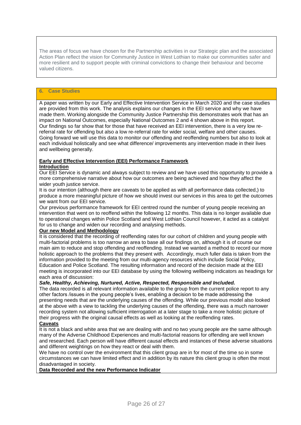The areas of focus we have chosen for the Partnership activities in our Strategic plan and the associated Action Plan reflect the vision for Community Justice in West Lothian to make our communities safer and more resilient and to support people with criminal convictions to change their behaviour and become valued citizens.

## **6. Case Studies**

A paper was written by our Early and Effective Intervention Service in March 2020 and the case studies are provided from this work. The analysis explains our changes in the EEI service and why we have made them. Working alongside the Community Justice Partnership this demonstrates work that has an impact on National Outcomes, especially National Outcomes 2 and 4 shown above in this report. Our findings so far show that for those that have received an EEI intervention, there is a very low rereferral rate for offending but also a low re-referral rate for wider social, welfare and other causes. Going forward we will use this data to monitor our offending and reoffending numbers but also to look at each individual holistically and see what difference/ improvements any intervention made in their lives and wellbeing generally.

#### **Early and Effective Intervention (EEI) Performance Framework Introduction**

Our EEI Service is dynamic and always subject to review and we have used this opportunity to provide a more comprehensive narrative about how our outcomes are being achieved and how they affect the wider youth justice service.

It is our intention (although there are caveats to be applied as with all performance data collected,) to produce a more meaningful picture of how we should invest our services in this area to get the outcomes we want from our EEI service.

Our previous performance framework for EEI centred round the number of young people receiving an intervention that went on to reoffend within the following 12 months. This data is no longer available due to operational changes within Police Scotland and West Lothian Council however, it acted as a catalyst for us to change and widen our recording and analysing methods.

## **Our new Model and Methodology**

It is considered that the recording of reoffending rates for our cohort of children and young people with multi-factorial problems is too narrow an area to base all our findings on, although it is of course our main aim to reduce and stop offending and reoffending. Instead we wanted a method to record our more holistic approach to the problems that they present with. Accordingly, much fuller data is taken from the information provided to the meeting from our multi-agency resources which include Social Policy, Education and Police Scotland. The resulting information and record of the decision made at the EEI meeting is incorporated into our EEI database by using the following wellbeing indicators as headings for each area of discussion:

## *Safe, Healthy, Achieving, Nurtured, Active, Respected, Responsible and Included.*

The data recorded is all relevant information available to the group from the current police report to any other factors /issues in the young people's lives, enabling a decision to be made addressing the presenting needs that are the underlying causes of the offending. While our previous model also looked at the above with a view to tackling the underlying causes of the offending, there was a much narrower recording system not allowing sufficient interrogation at a later stage to take a more holistic picture of their progress with the original causal effects as well as looking at the reoffending rates.

## **Caveats**

It is not a black and white area that we are dealing with and no two young people are the same although many of the Adverse Childhood Experiences and multi-factorial reasons for offending are well known and researched. Each person will have different causal effects and instances of these adverse situations and different weightings on how they react or deal with them.

We have no control over the environment that this client group are in for most of the time so in some circumstances we can have limited effect and in addition by its nature this client group is often the most disadvantaged in society.

## **Data Recorded and the new Performance Indicator**